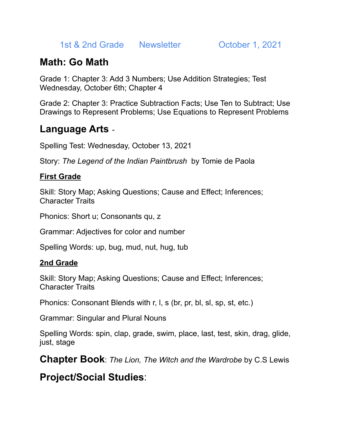1st & 2nd Grade Newsletter **October 1, 2021** 

### **Math: Go Math**

Grade 1: Chapter 3: Add 3 Numbers; Use Addition Strategies; Test Wednesday, October 6th; Chapter 4

Grade 2: Chapter 3: Practice Subtraction Facts; Use Ten to Subtract; Use Drawings to Represent Problems; Use Equations to Represent Problems

#### **Language Arts** -

Spelling Test: Wednesday, October 13, 2021

Story: *The Legend of the Indian Paintbrush* by Tomie de Paola

#### **First Grade**

Skill: Story Map; Asking Questions; Cause and Effect; Inferences; Character Traits

Phonics: Short u; Consonants qu, z

Grammar: Adjectives for color and number

Spelling Words: up, bug, mud, nut, hug, tub

#### **2nd Grade**

Skill: Story Map; Asking Questions; Cause and Effect; Inferences; Character Traits

Phonics: Consonant Blends with r, l, s (br, pr, bl, sl, sp, st, etc.)

Grammar: Singular and Plural Nouns

Spelling Words: spin, clap, grade, swim, place, last, test, skin, drag, glide, just, stage

**Chapter Book**: *The Lion, The Witch and the Wardrobe* by C.S Lewis

**Project/Social Studies**: